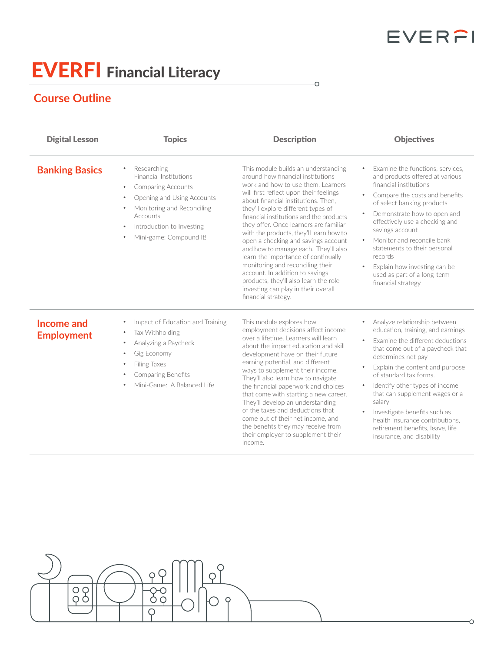## EVERFI

## EVERFI Financial Literacy

## **Course Outline**

 $\frac{\partial \varphi}{\partial \varphi}$ 

| <b>Digital Lesson</b>           | <b>Topics</b>                                                                                                                                                                                                          | <b>Description</b>                                                                                                                                                                                                                                                                                                                                                                                                                                                                                                                                                                                                                                                        | <b>Objectives</b>                                                                                                                                                                                                                                                                                                                                                                                                                                           |
|---------------------------------|------------------------------------------------------------------------------------------------------------------------------------------------------------------------------------------------------------------------|---------------------------------------------------------------------------------------------------------------------------------------------------------------------------------------------------------------------------------------------------------------------------------------------------------------------------------------------------------------------------------------------------------------------------------------------------------------------------------------------------------------------------------------------------------------------------------------------------------------------------------------------------------------------------|-------------------------------------------------------------------------------------------------------------------------------------------------------------------------------------------------------------------------------------------------------------------------------------------------------------------------------------------------------------------------------------------------------------------------------------------------------------|
| <b>Banking Basics</b>           | Researching<br><b>Financial Institutions</b><br><b>Comparing Accounts</b><br>$\bullet$<br>Opening and Using Accounts<br>Monitoring and Reconciling<br>Accounts<br>Introduction to Investing<br>Mini-game: Compound It! | This module builds an understanding<br>around how financial institutions<br>work and how to use them. Learners<br>will first reflect upon their feelings<br>about financial institutions. Then.<br>they'll explore different types of<br>financial institutions and the products<br>they offer. Once learners are familiar<br>with the products, they'll learn how to<br>open a checking and savings account<br>and how to manage each. They'll also<br>learn the importance of continually<br>monitoring and reconciling their<br>account. In addition to savings<br>products, they'll also learn the role<br>investing can play in their overall<br>financial strategy. | Examine the functions, services,<br>and products offered at various<br>financial institutions<br>Compare the costs and benefits<br>of select banking products<br>Demonstrate how to open and<br>effectively use a checking and<br>savings account<br>Monitor and reconcile bank<br>$\bullet$<br>statements to their personal<br>records<br>Explain how investing can be<br>$\bullet$<br>used as part of a long-term<br>financial strategy                   |
| Income and<br><b>Employment</b> | Impact of Education and Training<br>Tax Withholding<br>Analyzing a Paycheck<br>Gig Economy<br>Filing Taxes<br><b>Comparing Benefits</b><br>Mini-Game: A Balanced Life                                                  | This module explores how<br>employment decisions affect income<br>over a lifetime. Learners will learn<br>about the impact education and skill<br>development have on their future<br>earning potential, and different<br>ways to supplement their income.<br>They'll also learn how to navigate<br>the financial paperwork and choices<br>that come with starting a new career.<br>They'll develop an understanding<br>of the taxes and deductions that<br>come out of their net income, and<br>the benefits they may receive from<br>their employer to supplement their<br>income.                                                                                      | Analyze relationship between<br>education, training, and earnings<br>Examine the different deductions<br>that come out of a paycheck that<br>determines net pay<br>Explain the content and purpose<br>of standard tax forms.<br>Identify other types of income<br>that can supplement wages or a<br>salary<br>Investigate benefits such as<br>$\bullet$<br>health insurance contributions.<br>retirement benefits, leave, life<br>insurance, and disability |

 $\overline{\circ}$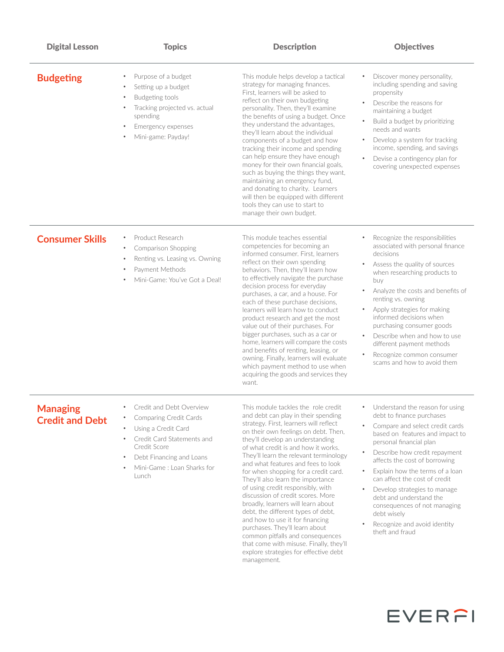| <b>Digital Lesson</b>                     | <b>Topics</b>                                                                                                                                                                                                  | <b>Description</b>                                                                                                                                                                                                                                                                                                                                                                                                                                                                                                                                                                                                                                                                                                                                                     | <b>Objectives</b>                                                                                                                                                                                                                                                                                                                                                                                                                                                                                         |
|-------------------------------------------|----------------------------------------------------------------------------------------------------------------------------------------------------------------------------------------------------------------|------------------------------------------------------------------------------------------------------------------------------------------------------------------------------------------------------------------------------------------------------------------------------------------------------------------------------------------------------------------------------------------------------------------------------------------------------------------------------------------------------------------------------------------------------------------------------------------------------------------------------------------------------------------------------------------------------------------------------------------------------------------------|-----------------------------------------------------------------------------------------------------------------------------------------------------------------------------------------------------------------------------------------------------------------------------------------------------------------------------------------------------------------------------------------------------------------------------------------------------------------------------------------------------------|
| <b>Budgeting</b>                          | Purpose of a budget<br>Setting up a budget<br>Budgeting tools<br>$\bullet$<br>Tracking projected vs. actual<br>spending<br>Emergency expenses<br>Mini-game: Payday!                                            | This module helps develop a tactical<br>strategy for managing finances.<br>First, learners will be asked to<br>reflect on their own budgeting<br>personality. Then, they'll examine<br>the benefits of using a budget. Once<br>they understand the advantages,<br>they'll learn about the individual<br>components of a budget and how<br>tracking their income and spending<br>can help ensure they have enough<br>money for their own financial goals,<br>such as buying the things they want,<br>maintaining an emergency fund,<br>and donating to charity. Learners<br>will then be equipped with different<br>tools they can use to start to<br>manage their own budget.                                                                                          | Discover money personality,<br>including spending and saving<br>propensity<br>Describe the reasons for<br>maintaining a budget<br>Build a budget by prioritizing<br>needs and wants<br>Develop a system for tracking<br>$\bullet$<br>income, spending, and savings<br>Devise a contingency plan for<br>$\bullet$<br>covering unexpected expenses                                                                                                                                                          |
| <b>Consumer Skills</b>                    | Product Research<br>$\bullet$<br>Comparison Shopping<br>$\bullet$<br>Renting vs. Leasing vs. Owning<br>Payment Methods<br>Mini-Game: You've Got a Deal!                                                        | This module teaches essential<br>competencies for becoming an<br>informed consumer. First, learners<br>reflect on their own spending<br>behaviors. Then, they'll learn how<br>to effectively navigate the purchase<br>decision process for everyday<br>purchases, a car, and a house. For<br>each of these purchase decisions,<br>learners will learn how to conduct<br>product research and get the most<br>value out of their purchases. For<br>bigger purchases, such as a car or<br>home, learners will compare the costs<br>and benefits of renting, leasing, or<br>owning. Finally, learners will evaluate<br>which payment method to use when<br>acquiring the goods and services they<br>want.                                                                 | Recognize the responsibilities<br>associated with personal finance<br>decisions<br>Assess the quality of sources<br>when researching products to<br>buy<br>Analyze the costs and benefits of<br>renting vs. owning<br>Apply strategies for making<br>informed decisions when<br>purchasing consumer goods<br>Describe when and how to use<br>different payment methods<br>Recognize common consumer<br>scams and how to avoid them                                                                        |
| <b>Managing</b><br><b>Credit and Debt</b> | Credit and Debt Overview<br><b>Comparing Credit Cards</b><br>Using a Credit Card<br>Credit Card Statements and<br>Credit Score<br>Debt Financing and Loans<br>$\bullet$<br>Mini-Game: Loan Sharks for<br>Lunch | This module tackles the role credit<br>and debt can play in their spending<br>strategy. First, learners will reflect<br>on their own feelings on debt. Then,<br>they'll develop an understanding<br>of what credit is and how it works.<br>They'll learn the relevant terminology<br>and what features and fees to look<br>for when shopping for a credit card.<br>They'll also learn the importance<br>of using credit responsibly, with<br>discussion of credit scores. More<br>broadly, learners will learn about<br>debt, the different types of debt,<br>and how to use it for financing<br>purchases. They'll learn about<br>common pitfalls and consequences<br>that come with misuse. Finally, they'll<br>explore strategies for effective debt<br>management. | • Understand the reason for using<br>debt to finance purchases<br>Compare and select credit cards<br>$\bullet$<br>based on features and impact to<br>personal financial plan<br>Describe how credit repayment<br>$\bullet$<br>affects the cost of borrowing<br>Explain how the terms of a loan<br>$\bullet$<br>can affect the cost of credit<br>Develop strategies to manage<br>debt and understand the<br>consequences of not managing<br>debt wisely<br>Recognize and avoid identity<br>theft and fraud |

EVERFI